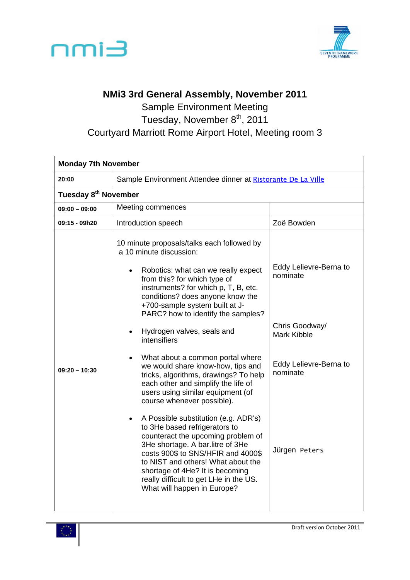



## **NMi3 3rd General Assembly, November 2011**

Sample Environment Meeting Tuesday, November 8<sup>th</sup>, 2011 Courtyard Marriott Rome Airport Hotel, Meeting room 3

| <b>Monday 7th November</b>       |                                                                                                                                                                                                                                                                                                                                                                                                                                                                                                                                                                                                                                                                                                                                                                                                                                                                                                                                                                           |                                                                                                                                   |  |
|----------------------------------|---------------------------------------------------------------------------------------------------------------------------------------------------------------------------------------------------------------------------------------------------------------------------------------------------------------------------------------------------------------------------------------------------------------------------------------------------------------------------------------------------------------------------------------------------------------------------------------------------------------------------------------------------------------------------------------------------------------------------------------------------------------------------------------------------------------------------------------------------------------------------------------------------------------------------------------------------------------------------|-----------------------------------------------------------------------------------------------------------------------------------|--|
| 20:00                            | Sample Environment Attendee dinner at Ristorante De La Ville                                                                                                                                                                                                                                                                                                                                                                                                                                                                                                                                                                                                                                                                                                                                                                                                                                                                                                              |                                                                                                                                   |  |
| Tuesday 8 <sup>th</sup> November |                                                                                                                                                                                                                                                                                                                                                                                                                                                                                                                                                                                                                                                                                                                                                                                                                                                                                                                                                                           |                                                                                                                                   |  |
| $09:00 - 09:00$                  | Meeting commences                                                                                                                                                                                                                                                                                                                                                                                                                                                                                                                                                                                                                                                                                                                                                                                                                                                                                                                                                         |                                                                                                                                   |  |
| 09:15 - 09h20                    | Introduction speech                                                                                                                                                                                                                                                                                                                                                                                                                                                                                                                                                                                                                                                                                                                                                                                                                                                                                                                                                       | Zoë Bowden                                                                                                                        |  |
| $09:20 - 10:30$                  | 10 minute proposals/talks each followed by<br>a 10 minute discussion:<br>Robotics: what can we really expect<br>$\bullet$<br>from this? for which type of<br>instruments? for which p, T, B, etc.<br>conditions? does anyone know the<br>+700-sample system built at J-<br>PARC? how to identify the samples?<br>Hydrogen valves, seals and<br>$\bullet$<br>intensifiers<br>What about a common portal where<br>$\bullet$<br>we would share know-how, tips and<br>tricks, algorithms, drawings? To help<br>each other and simplify the life of<br>users using similar equipment (of<br>course whenever possible).<br>A Possible substitution (e.g. ADR's)<br>$\bullet$<br>to 3He based refrigerators to<br>counteract the upcoming problem of<br>3He shortage. A bar.litre of 3He<br>costs 900\$ to SNS/HFIR and 4000\$<br>to NIST and others! What about the<br>shortage of 4He? It is becoming<br>really difficult to get LHe in the US.<br>What will happen in Europe? | Eddy Lelievre-Berna to<br>nominate<br>Chris Goodway/<br><b>Mark Kibble</b><br>Eddy Lelievre-Berna to<br>nominate<br>Jürgen Peters |  |